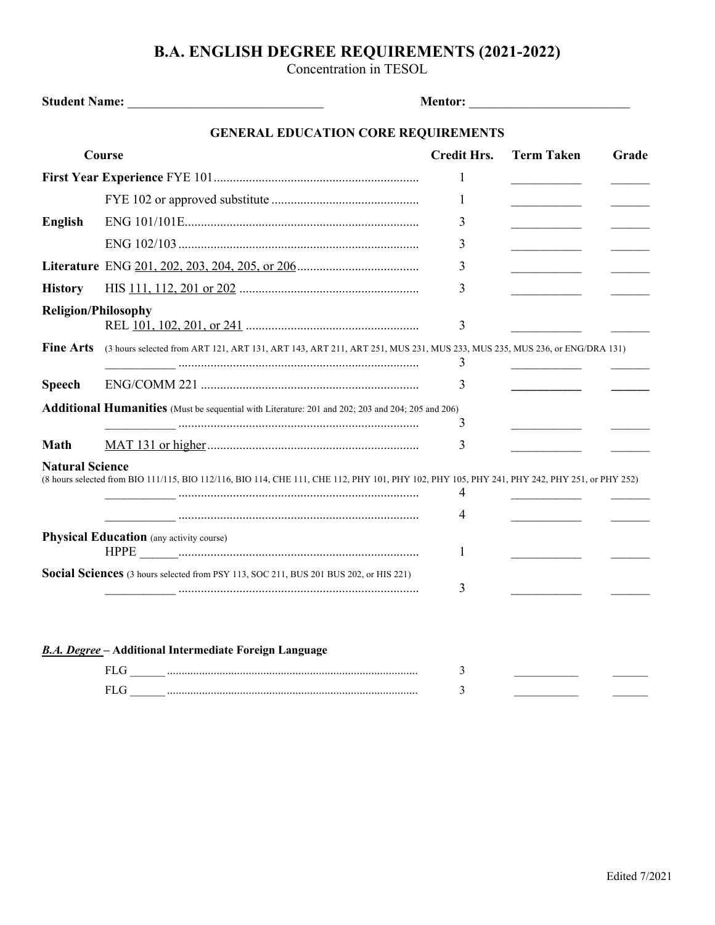## **B.A. ENGLISH DEGREE REQUIREMENTS (2021-2022)**

Concentration in TESOL

|                            | <b>GENERAL EDUCATION CORE REQUIREMENTS</b>                                                                                                    |                    |                                                                                                                                                                                                                                      |       |
|----------------------------|-----------------------------------------------------------------------------------------------------------------------------------------------|--------------------|--------------------------------------------------------------------------------------------------------------------------------------------------------------------------------------------------------------------------------------|-------|
| <b>Course</b>              |                                                                                                                                               | <b>Credit Hrs.</b> | <b>Term Taken</b>                                                                                                                                                                                                                    | Grade |
|                            |                                                                                                                                               | 1                  |                                                                                                                                                                                                                                      |       |
|                            |                                                                                                                                               | 1                  |                                                                                                                                                                                                                                      |       |
| <b>English</b>             |                                                                                                                                               | 3                  |                                                                                                                                                                                                                                      |       |
|                            |                                                                                                                                               | 3                  | <u> The Communication of the Communication of the Communication of the Communication of the Communication of the Communication of the Communication of the Communication of the Communication of the Communication of the Commun</u> |       |
|                            |                                                                                                                                               | 3                  |                                                                                                                                                                                                                                      |       |
| <b>History</b>             |                                                                                                                                               | 3                  | <u> 1989 - Johann Barnett, fransk politiker</u>                                                                                                                                                                                      |       |
| <b>Religion/Philosophy</b> |                                                                                                                                               | 3                  |                                                                                                                                                                                                                                      |       |
| <b>Fine Arts</b>           | (3 hours selected from ART 121, ART 131, ART 143, ART 211, ART 251, MUS 231, MUS 233, MUS 235, MUS 236, or ENG/DRA 131)                       | 3                  |                                                                                                                                                                                                                                      |       |
| <b>Speech</b>              |                                                                                                                                               | 3                  |                                                                                                                                                                                                                                      |       |
|                            | <b>Additional Humanities</b> (Must be sequential with Literature: 201 and 202; 203 and 204; 205 and 206)                                      | 3                  |                                                                                                                                                                                                                                      |       |
| <b>Math</b>                |                                                                                                                                               | 3                  |                                                                                                                                                                                                                                      |       |
| <b>Natural Science</b>     | (8 hours selected from BIO 111/115, BIO 112/116, BIO 114, CHE 111, CHE 112, PHY 101, PHY 102, PHY 105, PHY 241, PHY 242, PHY 251, or PHY 252) | 4                  |                                                                                                                                                                                                                                      |       |
|                            |                                                                                                                                               | 4                  |                                                                                                                                                                                                                                      |       |
|                            | <b>Physical Education</b> (any activity course)                                                                                               | 1                  |                                                                                                                                                                                                                                      |       |
|                            | Social Sciences (3 hours selected from PSY 113, SOC 211, BUS 201 BUS 202, or HIS 221)                                                         | 3                  |                                                                                                                                                                                                                                      |       |
|                            | <b>B.A. Degree - Additional Intermediate Foreign Language</b>                                                                                 |                    |                                                                                                                                                                                                                                      |       |
|                            |                                                                                                                                               | 3                  |                                                                                                                                                                                                                                      |       |
|                            | <b>FLG</b>                                                                                                                                    | 3                  |                                                                                                                                                                                                                                      |       |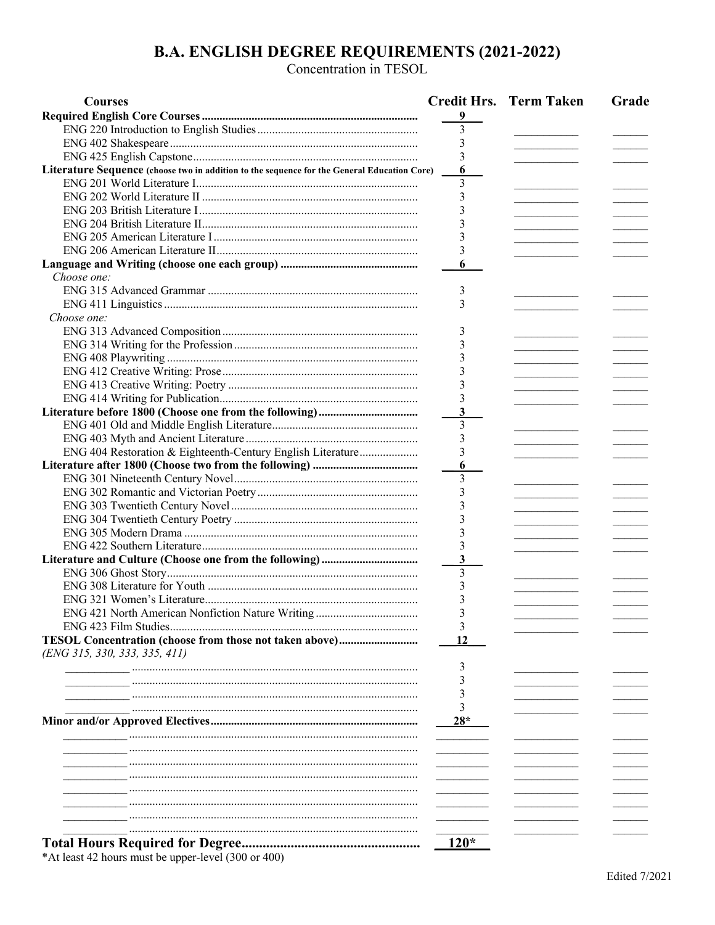## **B.A. ENGLISH DEGREE REQUIREMENTS (2021-2022)**<br>Concentration in TESOL

| <b>Courses</b>                                                                              |        | <b>Credit Hrs. Term Taken</b> | Grade |
|---------------------------------------------------------------------------------------------|--------|-------------------------------|-------|
|                                                                                             | 9      |                               |       |
|                                                                                             | 3      |                               |       |
|                                                                                             | 3      |                               |       |
|                                                                                             | 3      |                               |       |
| Literature Sequence (choose two in addition to the sequence for the General Education Core) | 6      |                               |       |
|                                                                                             | 3      |                               |       |
|                                                                                             |        |                               |       |
|                                                                                             |        |                               |       |
|                                                                                             |        |                               |       |
|                                                                                             |        |                               |       |
|                                                                                             | 3      |                               |       |
|                                                                                             | 6      |                               |       |
| Choose one:                                                                                 |        |                               |       |
|                                                                                             | 3      |                               |       |
|                                                                                             | 3      |                               |       |
| Choose one:                                                                                 |        |                               |       |
|                                                                                             |        |                               |       |
|                                                                                             | 3      |                               |       |
|                                                                                             | 3      |                               |       |
|                                                                                             |        |                               |       |
|                                                                                             |        |                               |       |
|                                                                                             |        |                               |       |
|                                                                                             |        |                               |       |
|                                                                                             | 3      |                               |       |
|                                                                                             | 3      |                               |       |
|                                                                                             | 3      |                               |       |
| ENG 404 Restoration & Eighteenth-Century English Literature                                 | 3      |                               |       |
|                                                                                             | 6      |                               |       |
|                                                                                             | 3      |                               |       |
|                                                                                             | 3      |                               |       |
|                                                                                             | 3      |                               |       |
|                                                                                             |        |                               |       |
|                                                                                             |        |                               |       |
|                                                                                             |        |                               |       |
|                                                                                             | 3      |                               |       |
|                                                                                             | 3      |                               |       |
|                                                                                             |        |                               |       |
|                                                                                             |        |                               |       |
| ENG 421 North American Nonfiction Nature Writing                                            |        |                               |       |
|                                                                                             | 3      |                               |       |
|                                                                                             | 12     |                               |       |
| (ENG 315, 330, 333, 335, 411)                                                               |        |                               |       |
|                                                                                             | 3      |                               |       |
|                                                                                             |        |                               |       |
|                                                                                             | 3      |                               |       |
|                                                                                             |        |                               |       |
|                                                                                             | $28*$  |                               |       |
|                                                                                             |        |                               |       |
|                                                                                             |        |                               |       |
|                                                                                             |        |                               |       |
|                                                                                             |        |                               |       |
|                                                                                             |        |                               |       |
|                                                                                             |        |                               |       |
|                                                                                             |        |                               |       |
|                                                                                             |        |                               |       |
|                                                                                             |        |                               |       |
|                                                                                             | $120*$ |                               |       |

\*At least 42 hours must be upper-level  $(300 \text{ or } 400)$